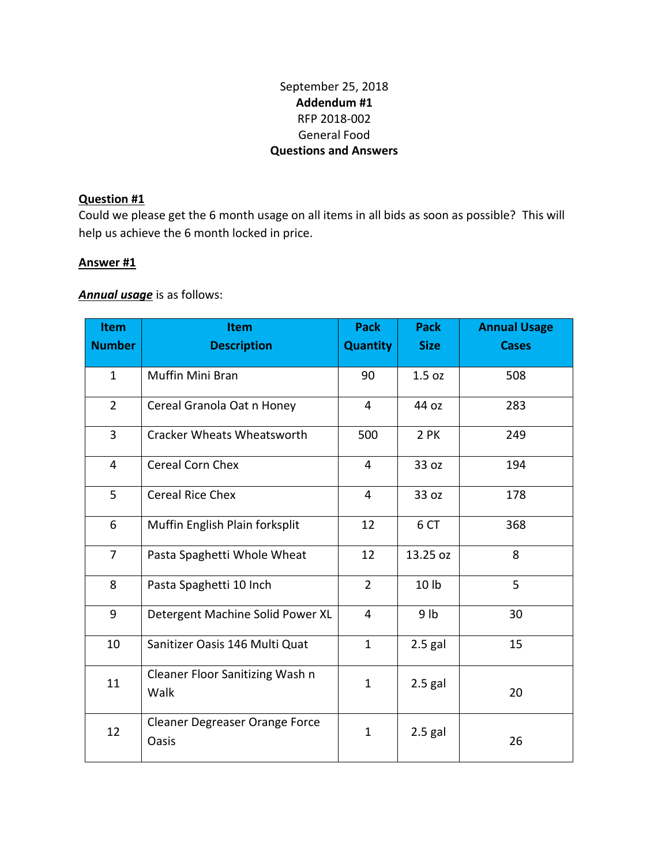## September 25, 2018 **Addendum #1** RFP 2018-002 General Food **Questions and Answers**

## **Question #1**

Could we please get the 6 month usage on all items in all bids as soon as possible? This will help us achieve the 6 month locked in price.

## **Answer #1**

## *Annual usage* is as follows:

| <b>Item</b><br><b>Number</b> | <b>Item</b><br><b>Description</b>              | <b>Pack</b><br><b>Quantity</b> | <b>Pack</b><br><b>Size</b> | <b>Annual Usage</b><br><b>Cases</b> |
|------------------------------|------------------------------------------------|--------------------------------|----------------------------|-------------------------------------|
| $\mathbf{1}$                 | Muffin Mini Bran                               | 90                             | 1.5 oz                     | 508                                 |
| $\overline{2}$               | Cereal Granola Oat n Honey                     | $\overline{4}$                 | 44 oz                      | 283                                 |
| 3                            | <b>Cracker Wheats Wheatsworth</b>              | 500                            | 2 PK                       | 249                                 |
| $\overline{4}$               | Cereal Corn Chex                               | $\overline{4}$                 | 33 oz                      | 194                                 |
| 5                            | <b>Cereal Rice Chex</b>                        | $\overline{4}$                 | 33 oz                      | 178                                 |
| 6                            | Muffin English Plain forksplit                 | 12                             | 6 CT                       | 368                                 |
| $\overline{7}$               | Pasta Spaghetti Whole Wheat                    | 12                             | 13.25 oz                   | 8                                   |
| 8                            | Pasta Spaghetti 10 Inch                        | $\overline{2}$                 | 10 lb                      | 5                                   |
| 9                            | Detergent Machine Solid Power XL               | $\overline{4}$                 | 9 <sub>lb</sub>            | 30                                  |
| 10                           | Sanitizer Oasis 146 Multi Quat                 | $\mathbf{1}$                   | $2.5$ gal                  | 15                                  |
| 11                           | Cleaner Floor Sanitizing Wash n<br>Walk        | $\mathbf{1}$                   | $2.5$ gal                  | 20                                  |
| 12                           | Cleaner Degreaser Orange Force<br><b>Oasis</b> | $\mathbf{1}$                   | $2.5$ gal                  | 26                                  |